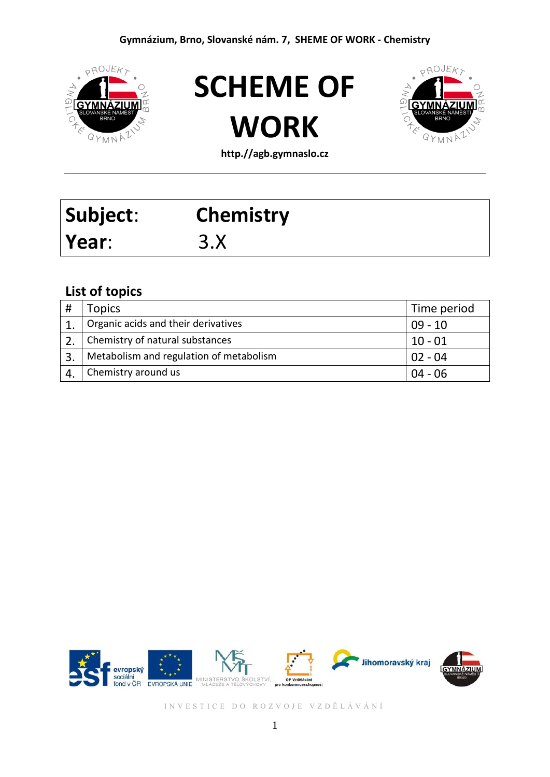





**http.//agb.gymnaslo.cz**

| Subject: | <b>Chemistry</b> |
|----------|------------------|
| Year:    | 3.X              |

#### **List of topics**

|              | <b>Topics</b>                           | Time period |
|--------------|-----------------------------------------|-------------|
|              | Organic acids and their derivatives     | $09 - 10$   |
|              | Chemistry of natural substances         | $10 - 01$   |
| $\mathbf{3}$ | Metabolism and regulation of metabolism | $02 - 04$   |
|              | Chemistry around us                     | $04 - 06$   |

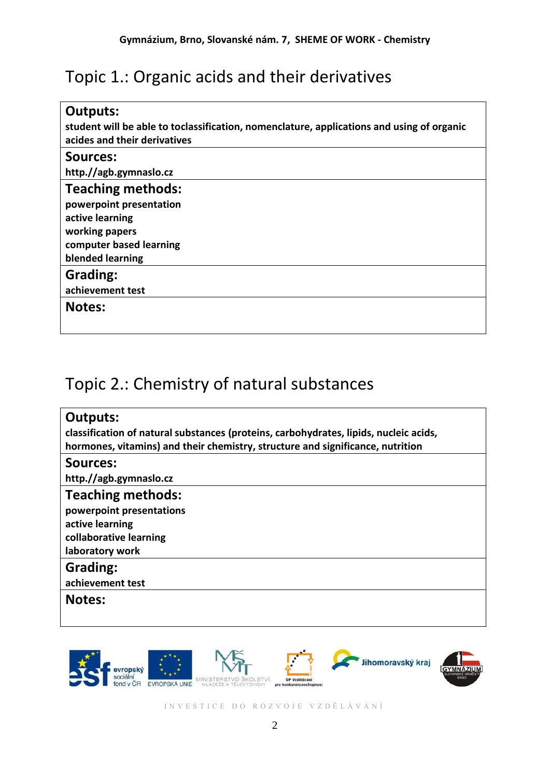# Topic 1.: Organic acids and their derivatives

| <b>Outputs:</b><br>student will be able to toclassification, nomenclature, applications and using of organic<br>acides and their derivatives |
|----------------------------------------------------------------------------------------------------------------------------------------------|
| Sources:                                                                                                                                     |
| http.//agb.gymnaslo.cz                                                                                                                       |
| <b>Teaching methods:</b>                                                                                                                     |
| powerpoint presentation                                                                                                                      |
| active learning                                                                                                                              |
| working papers                                                                                                                               |
| computer based learning                                                                                                                      |
| blended learning                                                                                                                             |
| <b>Grading:</b>                                                                                                                              |
| achievement test                                                                                                                             |
| <b>Notes:</b>                                                                                                                                |
|                                                                                                                                              |
|                                                                                                                                              |

## Topic 2.: Chemistry of natural substances



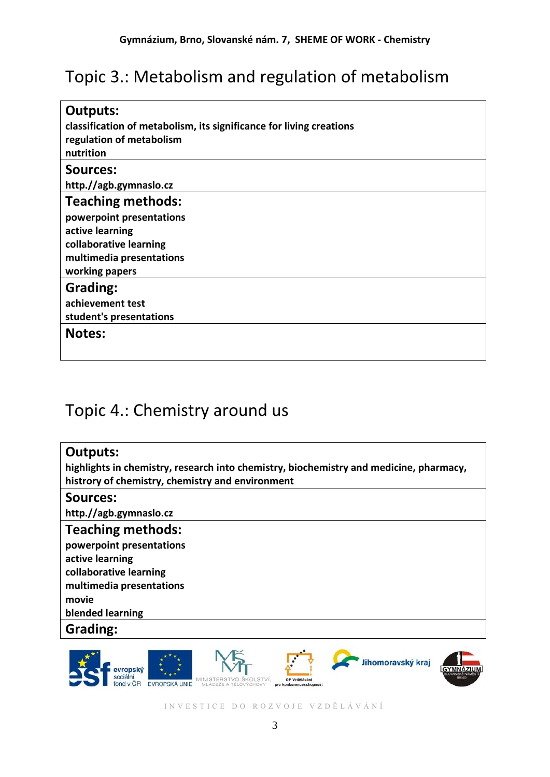# Topic 3.: Metabolism and regulation of metabolism

| <b>Outputs:</b><br>classification of metabolism, its significance for living creations<br>regulation of metabolism<br>nutrition |
|---------------------------------------------------------------------------------------------------------------------------------|
| <b>Sources:</b>                                                                                                                 |
| http.//agb.gymnaslo.cz                                                                                                          |
| <b>Teaching methods:</b>                                                                                                        |
| powerpoint presentations                                                                                                        |
| active learning                                                                                                                 |
| collaborative learning                                                                                                          |
| multimedia presentations                                                                                                        |
| working papers                                                                                                                  |
| <b>Grading:</b>                                                                                                                 |
| achievement test                                                                                                                |
| student's presentations                                                                                                         |
| <b>Notes:</b>                                                                                                                   |
|                                                                                                                                 |

### Topic 4.: Chemistry around us